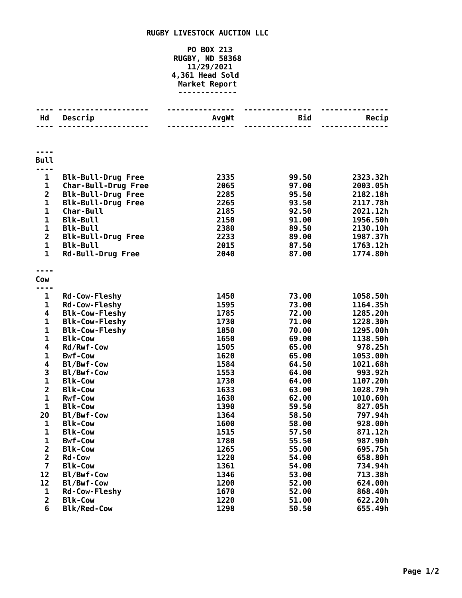## **RUGBY LIVESTOCK AUCTION LLC**

## **PO BOX 213 RUGBY, ND 58368 11/29/2021 4,361 Head Sold Market Report -------------**

| Hd                                                 | Descrip                                | AvgWt        | <b>Bid</b>     | Recip               |
|----------------------------------------------------|----------------------------------------|--------------|----------------|---------------------|
|                                                    |                                        |              | ------         |                     |
|                                                    |                                        |              |                |                     |
|                                                    |                                        |              |                |                     |
| <b>Bull</b>                                        |                                        |              |                |                     |
| ---                                                |                                        |              |                |                     |
| $\mathbf{1}$                                       | <b>Blk-Bull-Drug Free</b>              | 2335         | 99.50          | 2323.32h            |
| $\mathbf{1}$                                       | Char-Bull-Drug Free                    | 2065         | 97.00          | 2003.05h            |
| $\overline{\mathbf{c}}$                            | <b>Blk-Bull-Drug Free</b>              | 2285         | 95.50          | 2182.18h            |
| $\mathbf{1}$                                       | <b>Blk-Bull-Drug Free</b>              | 2265         | 93.50          | 2117.78h            |
| $\mathbf 1$                                        | Char-Bull                              | 2185         | 92.50          | 2021.12h            |
| $\mathbf 1$                                        | <b>Blk-Bull</b>                        | 2150         | 91.00          | 1956.50h            |
| $\mathbf 1$                                        | <b>Blk-Bull</b>                        | 2380         | 89.50          | 2130.10h            |
| $\mathbf{2}$                                       | <b>Blk-Bull-Drug Free</b>              | 2233         | 89.00          | 1987.37h            |
| $\mathbf{1}$                                       | <b>Blk-Bull</b>                        | 2015         | 87.50          | 1763.12h            |
| $\mathbf{1}$                                       | <b>Rd-Bull-Drug Free</b>               | 2040         | 87.00          | 1774.80h            |
|                                                    |                                        |              |                |                     |
|                                                    |                                        |              |                |                     |
| Cow                                                |                                        |              |                |                     |
| ----<br>$\mathbf{1}$                               |                                        | 1450         | 73.00          | 1058.50h            |
|                                                    | <b>Rd-Cow-Fleshy</b>                   | 1595         |                | 1164.35h            |
| 1                                                  | <b>Rd-Cow-Fleshy</b>                   | 1785         | 73.00<br>72.00 |                     |
| 4                                                  | <b>Blk-Cow-Fleshy</b>                  |              |                | 1285.20h            |
| $\mathbf 1$<br>$\mathbf{1}$                        | <b>Blk-Cow-Fleshy</b>                  | 1730         | 71.00          | 1228.30h            |
|                                                    | <b>Blk-Cow-Fleshy</b>                  | 1850         | 70.00          | 1295.00h            |
| $\mathbf{1}$<br>$\overline{\mathbf{4}}$            | <b>Blk-Cow</b>                         | 1650<br>1505 | 69.00          | 1138.50h<br>978.25h |
| $\mathbf 1$                                        | Rd/Rwf-Cow<br><b>Bwf-Cow</b>           | 1620         | 65.00          |                     |
| 4                                                  |                                        | 1584         | 65.00          | 1053.00h            |
|                                                    | Bl/Bwf-Cow                             | 1553         | 64.50          | 1021.68h<br>993.92h |
| 3<br>$\mathbf{1}$                                  | Bl/Bwf-Cow                             | 1730         | 64.00          |                     |
| $\overline{\mathbf{c}}$                            | <b>Blk-Cow</b>                         |              | 64.00          | 1107.20h            |
| $\mathbf 1$                                        | <b>Blk-Cow</b>                         | 1633         | 63.00          | 1028.79h            |
| $\mathbf 1$                                        | <b>Rwf-Cow</b>                         | 1630         | 62.00          | 1010.60h            |
|                                                    | <b>Blk-Cow</b><br>Bl/Bwf-Cow           | 1390         | 59.50          | 827.05h             |
| 20                                                 |                                        | 1364         | 58.50          | 797.94h             |
| 1<br>$\mathbf 1$                                   | <b>Blk-Cow</b><br><b>Blk-Cow</b>       | 1600<br>1515 | 58.00<br>57.50 | 928.00h<br>871.12h  |
|                                                    |                                        |              | 55.50          |                     |
| 1                                                  | <b>Bwf-Cow</b>                         | 1780         |                | 987.90h             |
| 2                                                  | <b>Blk-Cow</b><br><b>Rd-Cow</b>        | 1265<br>1220 | 55.00          | 695.75h             |
| $\overline{\mathbf{2}}$<br>$\overline{\mathbf{z}}$ |                                        |              | 54.00          | 658.80h             |
|                                                    | <b>Blk-Cow</b>                         | 1361         | 54.00          | 734.94h             |
| 12<br>12                                           | Bl/Bwf-Cow<br>Bl/Bwf-Cow               | 1346         | 53.00<br>52.00 | 713.38h             |
|                                                    |                                        | 1200         |                | 624.00h             |
| 1<br>$\overline{2}$                                | <b>Rd-Cow-Fleshy</b><br><b>Blk-Cow</b> | 1670<br>1220 | 52.00<br>51.00 | 868.40h<br>622.20h  |
| 6                                                  | <b>Blk/Red-Cow</b>                     | 1298         |                | 655.49h             |
|                                                    |                                        |              | 50.50          |                     |